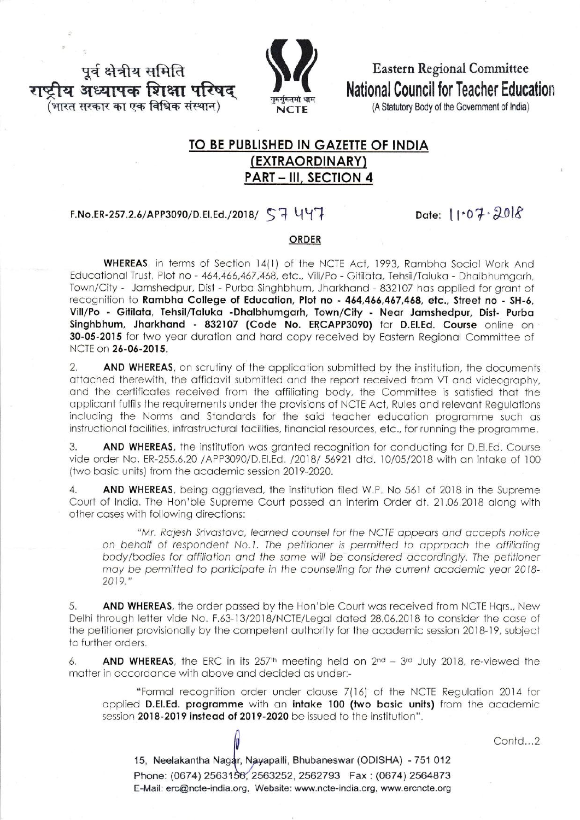पूर्व क्षेत्रीय समिति ोय अध्यापक शिक्षा परिषद ,<br>(भारत सरकार का एक विधिक संस्थान)



**Eastern Regional Committee National Council for Teacher Education** 

(A Statutory Body of the Government of India)

# TO BE PUBLISHED IN GAZETTE OF INDIA (EXTRAORDINARY) **PART - III, SECTION 4**

## F.No.ER-257.2.6/APP3090/D.EI.Ed./2018/  $\Im$  447

Date: 11.07.2018

### ORDER

WHEREAS, in terms of Section 14(1) of the NCTE Act, 1993, Rambha Social Work And Educational Trust, Plot no - 464,466,467,468, etc., Vill/Po - Gitilata, Tehsil/Taluka - Dhalbhumgarh, Town/City - Jamshedpur, Dist - Purba Singhbhum, Jharkhand - 832107 has applied for grant of recognition to Rambha College of Education, Plot no - 464,466,467,468, etc., Street no - SH-6, Vill/Po - Gitilata, Tehsil/Taluka -Dhalbhumgarh, Town/City - Near Jamshedpur, Dist- Purba Singhbhum, Jharkhand - 832107 (Code No. ERCAPP3090) for D.El.Ed. Course online on 30-05-2015 for two year duration and hard copy received by Eastern Reaional Committee of NCTE on 26-06-2015.

 $2.$ AND WHEREAS, on scrutiny of the application submitted by the institution, the documents attached therewith, the affidavit submitted and the report received from VT and videography, and the certificates received from the affiliating body, the Committee is satisfied that the applicant fulfils the requirements under the provisions of NCTE Act, Rules and relevant Requlations including the Norms and Standards for the said teacher education programme such as instructional facilities, infrastructural facilities, financial resources, etc., for running the programme.

3. AND WHEREAS, the institution was granted recognition for conducting for D.El.Ed. Course vide order No. ER-255.6.20 /APP3090/D.El.Ed. /2018/ 56921 dtd. 10/05/2018 with an intake of 100 (two basic units) from the academic session 2019-2020.

 $\overline{4}$ . AND WHEREAS, being aggrieved, the institution filed W.P. No 561 of 2018 in the Supreme Court of India. The Hon'ble Supreme Court passed an interim Order dt. 21.06.2018 along with other cases with following directions:

"Mr. Rajesh Srivastava, learned counsel for the NCTE appears and accepts notice on behalf of respondent No.1. The petitioner is permitted to approach the affiliating body/bodies for affiliation and the same will be considered accordingly. The petitioner may be permitted to participate in the counselling for the current academic year 2018-2019."

AND WHEREAS, the order passed by the Hon'ble Court was received from NCTE Hars., New 5. Delhi through letter vide No. F.63-13/2018/NCTE/Legal dated 28.06.2018 to consider the case of the petitioner provisionally by the competent authority for the academic session 2018-19, subject to further orders.

AND WHEREAS, the ERC in its 257th meeting held on 2nd - 3rd July 2018, re-viewed the  $6.$ matter in accordance with above and decided as under:-

"Formal recognition order under clause 7(16) of the NCTE Regulation 2014 for applied D.El.Ed. programme with an intake 100 (two basic units) from the academic session 2018-2019 instead of 2019-2020 be issued to the institution".

Contd...2

15, Neelakantha Nagar, Nayapalli, Bhubaneswar (ODISHA) - 751 012 Phone: (0674) 2563156, 2563252, 2562793 Fax: (0674) 2564873 E-Mail: erc@ncte-india.org. Website: www.ncte-india.org. www.ercncte.org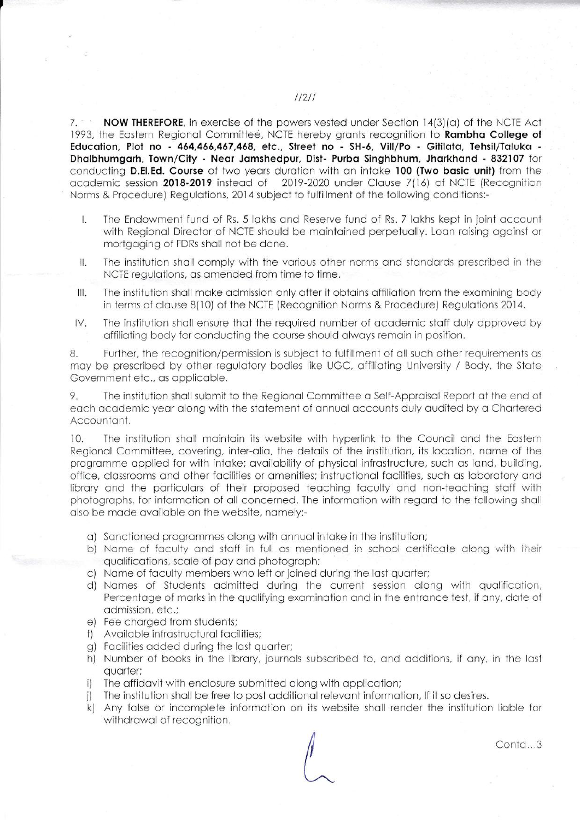NOW THEREFORE, in exercise of the powers vested under Section  $14(3)(a)$  of the NCTE Act  $7. - 1$ 1993, the Eastern Regional Committee, NCTE hereby grants recognition to **Rambha College of** Education, Plot no - 464,466,467,468, etc., Street no - SH-6, Vill/Po - Gitilata, Tehsil/Taluka -Dhalbhumgarh, Town/City - Near Jamshedpur, Dist- Purba Singhbhum, Jharkhand - 832107 for conducting D.El.Ed. Course of two years duration with an intake 100 (Two basic unit) from the 2019-2020 under Clause 7(16) of NCTE (Recognition academic session 2018-2019 instead of Norms & Procedure) Regulations, 2014 subject to fulfillment of the following conditions:-

- Ī. The Endowment fund of Rs. 5 lakhs and Reserve fund of Rs. 7 lakhs kept in joint account with Regional Director of NCTE should be maintained perpetually. Loan raising against or mortgaging of FDRs shall not be done.
- The institution shall comply with the various other norms and standards prescribed in the Ш. NCTE regulations, as amended from time to time.
- $III.$ The institution shall make admission only after it obtains affiliation from the examining body in terms of clause 8(10) of the NCTE (Recognition Norms & Procedure) Regulations 2014.
- The institution shall ensure that the required number of academic staff duly approved by IV. affiliating body for conducting the course should always remain in position.

Further, the recognition/permission is subject to fulfillment of all such other requirements as 8. may be prescribed by other regulatory bodies like UGC, affiliating University / Body, the State Government etc., as applicable.

The institution shall submit to the Regional Committee a Self-Appraisal Report at the end of 9. each academic year along with the statement of annual accounts duly audited by a Chartered Accountant.

 $10.$ The institution shall maintain its website with hyperlink to the Council and the Eastern Regional Committee, covering, inter-alia, the details of the institution, its location, name of the programme applied for with intake; availability of physical infrastructure, such as land, building, office, classrooms and other facilities or amenities; instructional facilities, such as laboratory and library and the particulars of their proposed teaching faculty and non-teaching staff with photographs, for information of all concerned. The information with regard to the following shall also be made available on the website, namely:-

- a) Sanctioned programmes along with annual intake in the institution;
- b) Name of faculty and staff in full as mentioned in school certificate along with their qualifications, scale of pay and photograph;
- c) Name of faculty members who left or joined during the last quarter;
- d) Names of Students admitted during the current session along with qualification, Percentage of marks in the qualifying examination and in the entrance test, if any, date of admission, etc.;
- e) Fee charged from students;
- f) Available infrastructural facilities;
- g) Facilities added during the last quarter;
- h) Number of books in the library, journals subscribed to, and additions, if any, in the last quarter;
- i) The affidavit with enclosure submitted along with application;
- i) The institution shall be free to post additional relevant information, If it so desires.
- k) Any false or incomplete information on its website shall render the institution liable for withdrawal of recognition.

Contd...3